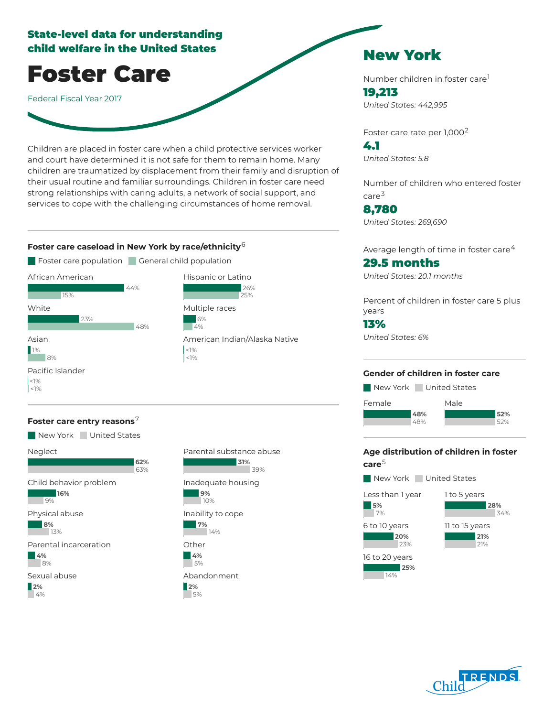## State-level data for understanding child welfare in the United States

Foster Care

Federal Fiscal Year 2017

Children are placed in foster care when a child protective services worker and court have determined it is not safe for them to remain home. Many children are traumatized by displacement from their family and disruption of their usual routine and familiar surroundings. Children in foster care need strong relationships with caring adults, a network of social support, and services to cope with the challenging circumstances of home removal.

## **Foster care caseload in New York by race/ethnicity** 6



### **Foster care entry reasons** 7





 $26%$ 25%

# New York

Number children in foster care 1 19,213 *United States: 442,995*

Foster care rate per 1,000<sup>2</sup>

4.1 *United States: 5.8*

Number of children who entered foster care 3

8,780 *United States: 269,690*

Average length of time in foster care $^4\,$ 

## 29.5 months

*United States: 20.1 months*

Percent of children in foster care 5 plus years

## 13%

**5%** 7%

*United States: 6%*

### **Gender of children in foster care**

New York United States



## **Age distribution of children in foster care** 5

New York United States